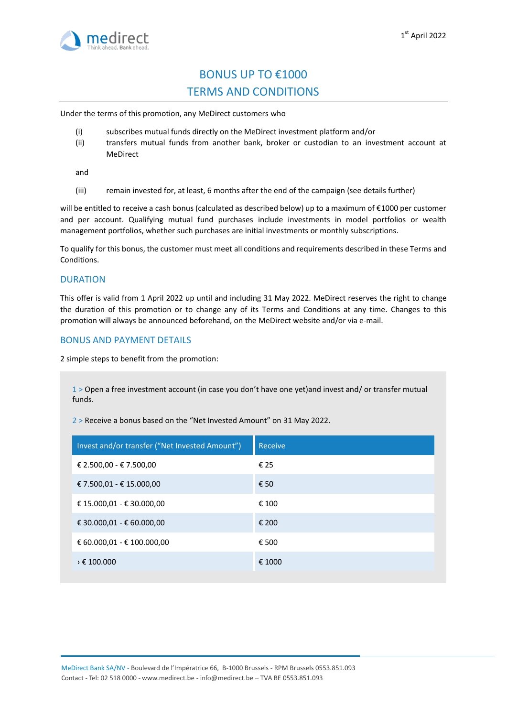

# BONUS UP TO €1000 TERMS AND CONDITIONS

Under the terms of this promotion, any MeDirect customers who

- (i) subscribes mutual funds directly on the MeDirect investment platform and/or
- (ii) transfers mutual funds from another bank, broker or custodian to an investment account at MeDirect

and

(iii) remain invested for, at least, 6 months after the end of the campaign (see details further)

will be entitled to receive a cash bonus (calculated as described below) up to a maximum of €1000 per customer and per account. Qualifying mutual fund purchases include investments in model portfolios or wealth management portfolios, whether such purchases are initial investments or monthly subscriptions.

To qualify for this bonus, the customer must meet all conditions and requirements described in these Terms and Conditions.

#### **DURATION**

This offer is valid from 1 April 2022 up until and including 31 May 2022. MeDirect reserves the right to change the duration of this promotion or to change any of its Terms and Conditions at any time. Changes to this promotion will always be announced beforehand, on the MeDirect website and/or via e-mail.

## BONUS AND PAYMENT DETAILS

2 simple steps to benefit from the promotion:

1 > Open a free investment account (in case you don't have one yet)and invest and/ or transfer mutual funds.

2 > Receive a bonus based on the "Net Invested Amount" on 31 May 2022.

| Invest and/or transfer ("Net Invested Amount") | <b>Receive</b> |
|------------------------------------------------|----------------|
| € 2.500,00 - € 7.500,00                        | € 25           |
| € 7.500,01 - € 15.000,00                       | € 50           |
| € 15.000,01 - € 30.000,00                      | € 100          |
| € 30.000,01 - € 60.000,00                      | € 200          |
| € 60.000,01 - € 100.000,00                     | € 500          |
| $\rightarrow \epsilon$ 100.000                 | € 1000         |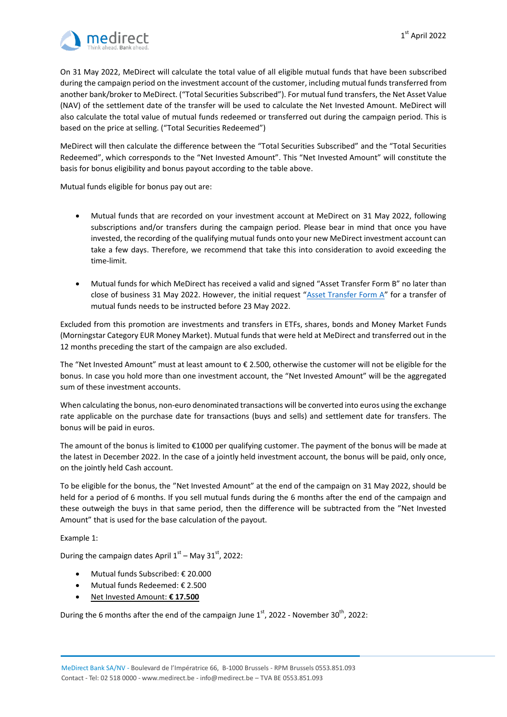

On 31 May 2022, MeDirect will calculate the total value of all eligible mutual funds that have been subscribed during the campaign period on the investment account of the customer, including mutual funds transferred from another bank/broker to MeDirect. ("Total Securities Subscribed"). For mutual fund transfers, the Net Asset Value (NAV) of the settlement date of the transfer will be used to calculate the Net Invested Amount. MeDirect will also calculate the total value of mutual funds redeemed or transferred out during the campaign period. This is based on the price at selling. ("Total Securities Redeemed")

MeDirect will then calculate the difference between the "Total Securities Subscribed" and the "Total Securities Redeemed", which corresponds to the "Net Invested Amount". This "Net Invested Amount" will constitute the basis for bonus eligibility and bonus payout according to the table above.

Mutual funds eligible for bonus pay out are:

- Mutual funds that are recorded on your investment account at MeDirect on 31 May 2022, following subscriptions and/or transfers during the campaign period. Please bear in mind that once you have invested, the recording of the qualifying mutual funds onto your new MeDirect investment account can take a few days. Therefore, we recommend that take this into consideration to avoid exceeding the time-limit.
- Mutual funds for which MeDirect has received a valid and signed "Asset Transfer Form B" no later than close of business 31 May 2022. However, the initial request "[Asset Transfer Form A](https://cdn.medirect.com/docs/default-source/support-documents/medirect-asset-transfer-form.pdf)" for a transfer of mutual funds needs to be instructed before 23 May 2022.

Excluded from this promotion are investments and transfers in ETFs, shares, bonds and Money Market Funds (Morningstar Category EUR Money Market). Mutual funds that were held at MeDirect and transferred out in the 12 months preceding the start of the campaign are also excluded.

The "Net Invested Amount" must at least amount to  $\epsilon$  2.500, otherwise the customer will not be eligible for the bonus. In case you hold more than one investment account, the "Net Invested Amount" will be the aggregated sum of these investment accounts.

When calculating the bonus, non-euro denominated transactions will be converted into euros using the exchange rate applicable on the purchase date for transactions (buys and sells) and settlement date for transfers. The bonus will be paid in euros.

The amount of the bonus is limited to €1000 per qualifying customer. The payment of the bonus will be made at the latest in December 2022. In the case of a jointly held investment account, the bonus will be paid, only once, on the jointly held Cash account.

To be eligible for the bonus, the "Net Invested Amount" at the end of the campaign on 31 May 2022, should be held for a period of 6 months. If you sell mutual funds during the 6 months after the end of the campaign and these outweigh the buys in that same period, then the difference will be subtracted from the "Net Invested Amount" that is used for the base calculation of the payout.

Example 1:

During the campaign dates April  $1<sup>st</sup>$  – May 31 $<sup>st</sup>$ , 2022:</sup>

- Mutual funds Subscribed: € 20.000
- Mutual funds Redeemed: € 2.500
- Net Invested Amount: **€ 17.500**

During the 6 months after the end of the campaign June  $1<sup>st</sup>$ , 2022 - November 30<sup>th</sup>, 2022: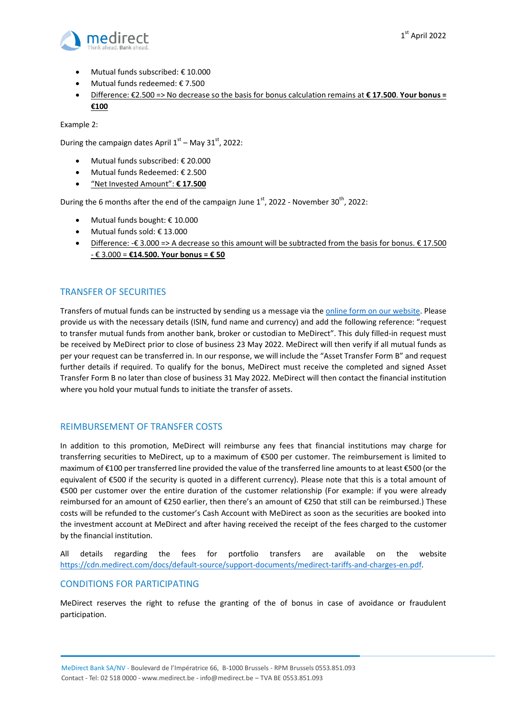

- Mutual funds subscribed: € 10.000
- Mutual funds redeemed: € 7.500
- Difference: €2.500 => No decrease so the basis for bonus calculation remains at **€ 17.500**. **Your bonus = €100**

Example 2:

During the campaign dates April  $1<sup>st</sup>$  – May 31 $<sup>st</sup>$ , 2022:</sup>

- Mutual funds subscribed: € 20.000
- Mutual funds Redeemed: € 2.500
- "Net Invested Amount": **€ 17.500**

During the 6 months after the end of the campaign June  $1<sup>st</sup>$ , 2022 - November 30<sup>th</sup>, 2022:

- Mutual funds bought: € 10.000
- Mutual funds sold: € 13.000
- Difference: -€ 3.000 => A decrease so this amount will be subtracted from the basis for bonus. € 17.500 - € 3.000 = **€14.500. Your bonus = € 50**

# TRANSFER OF SECURITIES

Transfers of mutual funds can be instructed by sending us a message via the online [form on our](https://www.medirect.be/contact?sub=atf) website. Please provide us with the necessary details (ISIN, fund name and currency) and add the following reference: "request to transfer mutual funds from another bank, broker or custodian to MeDirect". This duly filled-in request must be received by MeDirect prior to close of business 23 May 2022. MeDirect will then verify if all mutual funds as per your request can be transferred in. In our response, we will include the "Asset Transfer Form B" and request further details if required. To qualify for the bonus, MeDirect must receive the completed and signed Asset Transfer Form B no later than close of business 31 May 2022. MeDirect will then contact the financial institution where you hold your mutual funds to initiate the transfer of assets.

## REIMBURSEMENT OF TRANSFER COSTS

In addition to this promotion, MeDirect will reimburse any fees that financial institutions may charge for transferring securities to MeDirect, up to a maximum of €500 per customer. The reimbursement is limited to maximum of €100 per transferred line provided the value of the transferred line amounts to at least €500 (or the equivalent of €500 if the security is quoted in a different currency). Please note that this is a total amount of €500 per customer over the entire duration of the customer relationship (For example: if you were already reimbursed for an amount of €250 earlier, then there's an amount of €250 that still can be reimbursed.) These costs will be refunded to the customer's Cash Account with MeDirect as soon as the securities are booked into the investment account at MeDirect and after having received the receipt of the fees charged to the customer by the financial institution.

All details regarding the fees for portfolio transfers are available on the website [https://cdn.medirect.com/docs/default-source/support-documents/medirect-tariffs-and-charges-en.pdf.](https://cdn.medirect.com/docs/default-source/support-documents/medirect-tariffs-and-charges-en.pdf)

## CONDITIONS FOR PARTICIPATING

MeDirect reserves the right to refuse the granting of the of bonus in case of avoidance or fraudulent participation.